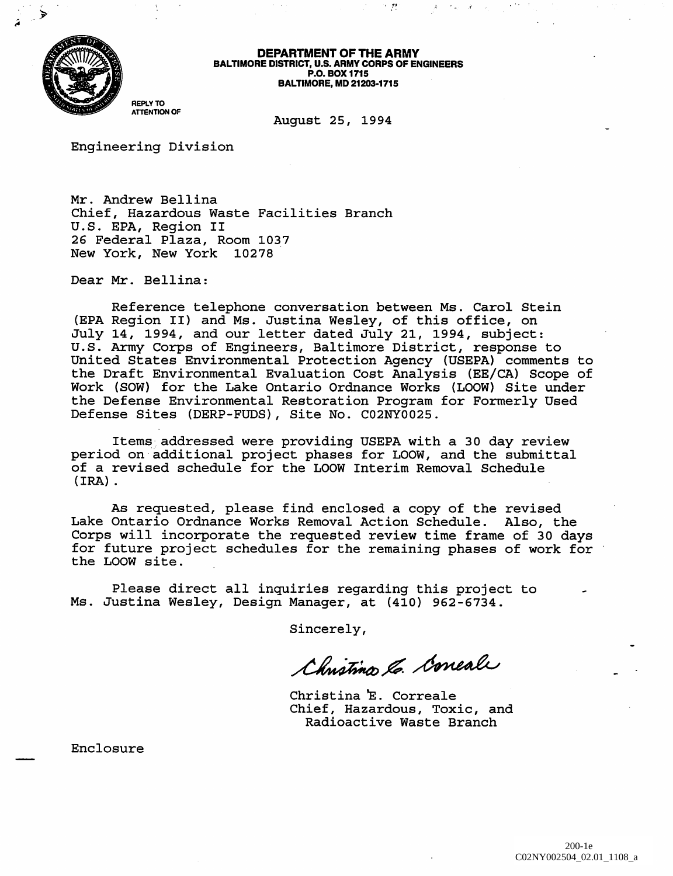

DEPARTMENT OF THE ARMY BALTIMORE DISTRICT, u.S. ARMY CORPS OF ENGINEERS P.O. BOX 1715 BALTIMORE, MD 21203·1715

 $\sim 12$ 

 $\mathcal{A}^{\mathcal{A}} = \{ \mathcal{A}^{\mathcal{A}} \mathcal{A}^{\mathcal{A}} \} \subset \mathcal{A}^{\mathcal{A}} = \{ \mathcal{A}^{\mathcal{A}} \}$ 

REPLY TO ATTENTION OF

August 25, 1994

Engineering Division

Mr. Andrew Bellina Chief, Hazardous Waste Facilities Branch U.S. EPA, Region II 26 Federal Plaza, Room 1037 New York, New York 10278

Dear Mr. Bellina:

Reference telephone conversation between Ms. Carol Stein (EPA Region II) and Ms. Justina Wesley, of this office, on July 14, 1994, and our letter dated July 21, 1994, subject: U.S. Army Corps of Engineers, Baltimore District, response to United States Environmental Protection Agency (USEPA) comments to the Draft Environmental Evaluation Cost Analysis (EE/CA) Scope of Work (SOW) for the Lake Ontario Ordnance Works (LOOW) Site under the Defense Environmental Restoration Program for Formerly Used Defense Sites (DERP-FUDS), Site No. C02NY0025.

Items addressed were providing USEPA with a 30 day review period on additional project phases for LOOW, and the submittal of a revised schedule for the LOOW Interim Removal Schedule (IRA) .

As requested, please find enclosed a copy of the revised Lake Ontario Ordnance Works Removal Action Schedule. Also, the Corps will incorporate the requested review time frame of 30 days for future project schedules for the remaining phases of work for the LOOW site.

Please direct all inquiries regarding this project to Ms. Justina Wesley, Design Manager, at (410) 962-6734.

Sincerely,

Christina & Correali

Christina E. Correale Chief, Hazardous, Toxic, and Radioactive Waste Branch

Enclosure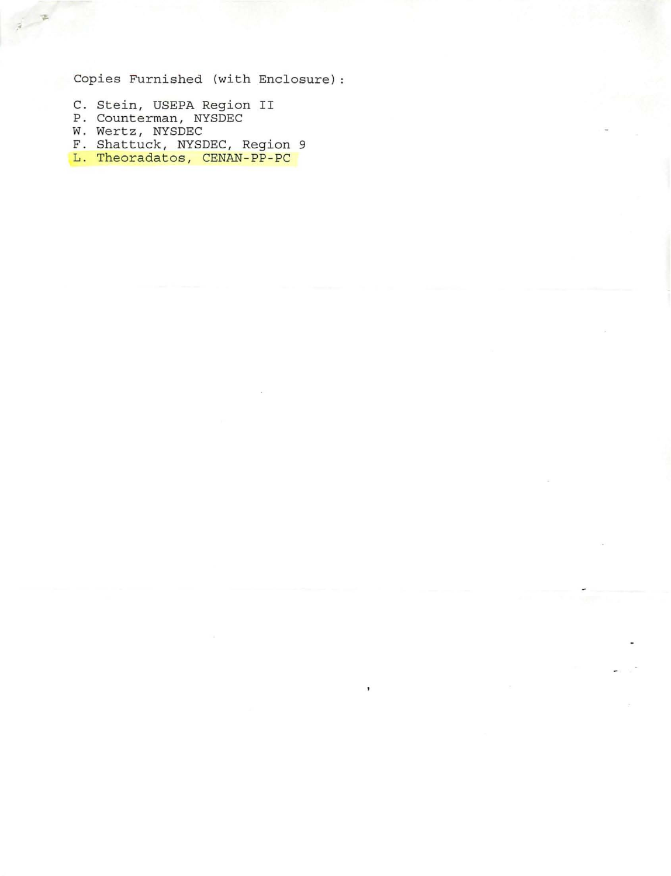Copies Furnished (with Enclosure)

- C. Stein, USEPA Region II
- P. Counterman, NYSDEC
- W. Wertz, NYSDEC
- F. Shattuck, NYSDEC, Region 9
- L. Theoradatos, CENAN-PP-PC